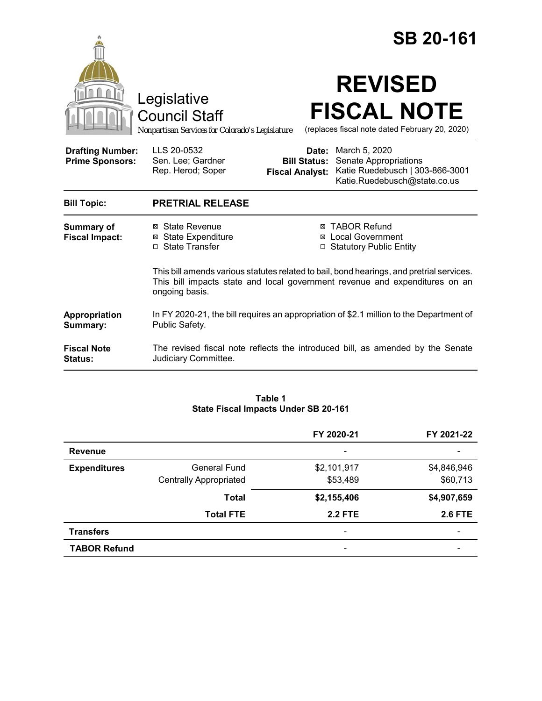|                                                   |                                                                                                                                                                                           |                                 | <b>SB 20-161</b>                                                                                                              |  |
|---------------------------------------------------|-------------------------------------------------------------------------------------------------------------------------------------------------------------------------------------------|---------------------------------|-------------------------------------------------------------------------------------------------------------------------------|--|
|                                                   | Legislative<br><b>Council Staff</b><br>Nonpartisan Services for Colorado's Legislature                                                                                                    |                                 | <b>REVISED</b><br><b>FISCAL NOTE</b><br>(replaces fiscal note dated February 20, 2020)                                        |  |
| <b>Drafting Number:</b><br><b>Prime Sponsors:</b> | LLS 20-0532<br>Sen. Lee; Gardner<br>Rep. Herod; Soper                                                                                                                                     | Date:<br><b>Fiscal Analyst:</b> | March 5, 2020<br><b>Bill Status:</b> Senate Appropriations<br>Katie Ruedebusch   303-866-3001<br>Katie.Ruedebusch@state.co.us |  |
| <b>Bill Topic:</b>                                | <b>PRETRIAL RELEASE</b>                                                                                                                                                                   |                                 |                                                                                                                               |  |
| <b>Summary of</b><br><b>Fiscal Impact:</b>        | ⊠ State Revenue<br><b>⊠</b> State Expenditure<br>□ State Transfer                                                                                                                         |                                 | <b>⊠ TABOR Refund</b><br>⊠ Local Government<br>□ Statutory Public Entity                                                      |  |
|                                                   | This bill amends various statutes related to bail, bond hearings, and pretrial services.<br>This bill impacts state and local government revenue and expenditures on an<br>ongoing basis. |                                 |                                                                                                                               |  |
| Appropriation<br>Summary:                         | In FY 2020-21, the bill requires an appropriation of \$2.1 million to the Department of<br>Public Safety.                                                                                 |                                 |                                                                                                                               |  |
| <b>Fiscal Note</b><br><b>Status:</b>              | The revised fiscal note reflects the introduced bill, as amended by the Senate<br>Judiciary Committee.                                                                                    |                                 |                                                                                                                               |  |

#### **Table 1 State Fiscal Impacts Under SB 20-161**

|                     |                               | FY 2020-21     | FY 2021-22               |
|---------------------|-------------------------------|----------------|--------------------------|
| <b>Revenue</b>      |                               | -              |                          |
| <b>Expenditures</b> | <b>General Fund</b>           | \$2,101,917    | \$4,846,946              |
|                     | <b>Centrally Appropriated</b> | \$53,489       | \$60,713                 |
|                     | <b>Total</b>                  | \$2,155,406    | \$4,907,659              |
|                     | <b>Total FTE</b>              | <b>2.2 FTE</b> | <b>2.6 FTE</b>           |
| <b>Transfers</b>    |                               | -              | $\overline{\phantom{0}}$ |
| <b>TABOR Refund</b> |                               | -              |                          |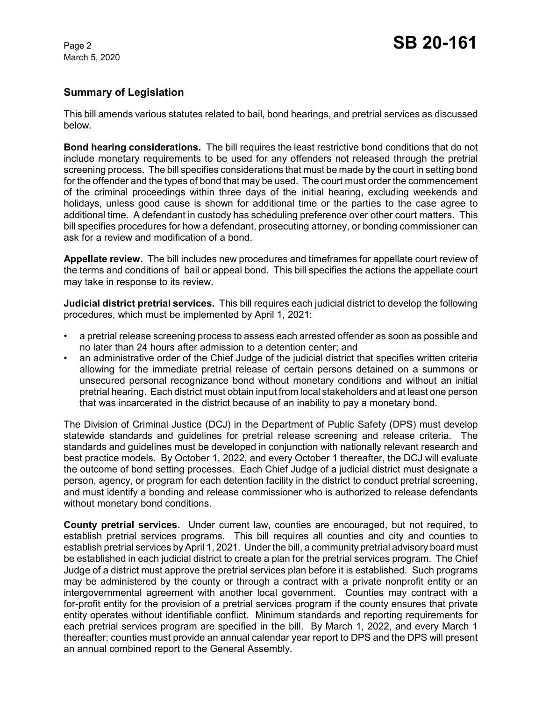# **Summary of Legislation**

This bill amends various statutes related to bail, bond hearings, and pretrial services as discussed below.

**Bond hearing considerations.** The bill requires the least restrictive bond conditions that do not include monetary requirements to be used for any offenders not released through the pretrial screening process. The bill specifies considerations that must be made by the court in setting bond for the offender and the types of bond that may be used. The court must order the commencement of the criminal proceedings within three days of the initial hearing, excluding weekends and holidays, unless good cause is shown for additional time or the parties to the case agree to additional time. A defendant in custody has scheduling preference over other court matters. This bill specifies procedures for how a defendant, prosecuting attorney, or bonding commissioner can ask for a review and modification of a bond.

**Appellate review.** The bill includes new procedures and timeframes for appellate court review of the terms and conditions of bail or appeal bond. This bill specifies the actions the appellate court may take in response to its review.

**Judicial district pretrial services.** This bill requires each judicial district to develop the following procedures, which must be implemented by April 1, 2021:

- a pretrial release screening process to assess each arrested offender as soon as possible and no later than 24 hours after admission to a detention center; and
- an administrative order of the Chief Judge of the judicial district that specifies written criteria allowing for the immediate pretrial release of certain persons detained on a summons or unsecured personal recognizance bond without monetary conditions and without an initial pretrial hearing. Each district must obtain input from local stakeholders and at least one person that was incarcerated in the district because of an inability to pay a monetary bond.

The Division of Criminal Justice (DCJ) in the Department of Public Safety (DPS) must develop statewide standards and guidelines for pretrial release screening and release criteria. The standards and guidelines must be developed in conjunction with nationally relevant research and best practice models. By October 1, 2022, and every October 1 thereafter, the DCJ will evaluate the outcome of bond setting processes. Each Chief Judge of a judicial district must designate a person, agency, or program for each detention facility in the district to conduct pretrial screening, and must identify a bonding and release commissioner who is authorized to release defendants without monetary bond conditions.

**County pretrial services.** Under current law, counties are encouraged, but not required, to establish pretrial services programs. This bill requires all counties and city and counties to establish pretrial services by April 1, 2021. Under the bill, a community pretrial advisory board must be established in each judicial district to create a plan for the pretrial services program. The Chief Judge of a district must approve the pretrial services plan before it is established. Such programs may be administered by the county or through a contract with a private nonprofit entity or an intergovernmental agreement with another local government. Counties may contract with a for-profit entity for the provision of a pretrial services program if the county ensures that private entity operates without identifiable conflict. Minimum standards and reporting requirements for each pretrial services program are specified in the bill. By March 1, 2022, and every March 1 thereafter; counties must provide an annual calendar year report to DPS and the DPS will present an annual combined report to the General Assembly.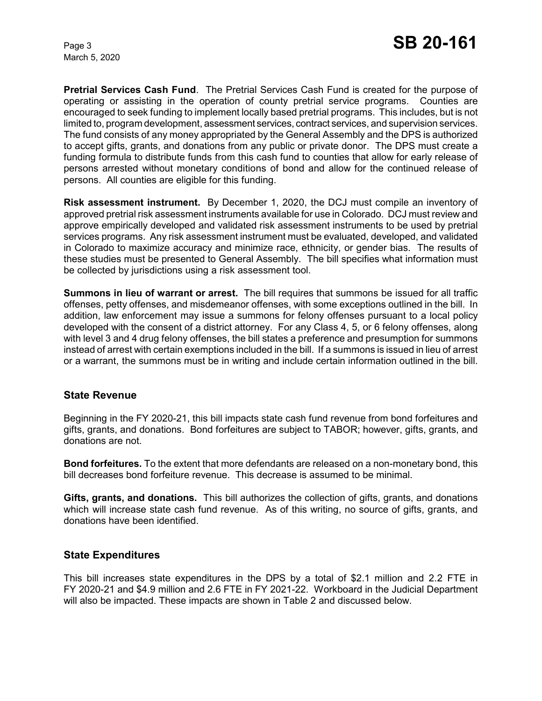**Pretrial Services Cash Fund**. The Pretrial Services Cash Fund is created for the purpose of operating or assisting in the operation of county pretrial service programs. Counties are encouraged to seek funding to implement locally based pretrial programs. This includes, but is not limited to, program development, assessment services, contract services, and supervision services. The fund consists of any money appropriated by the General Assembly and the DPS is authorized to accept gifts, grants, and donations from any public or private donor. The DPS must create a funding formula to distribute funds from this cash fund to counties that allow for early release of persons arrested without monetary conditions of bond and allow for the continued release of persons. All counties are eligible for this funding.

**Risk assessment instrument.** By December 1, 2020, the DCJ must compile an inventory of approved pretrial risk assessment instruments available for use in Colorado. DCJ must review and approve empirically developed and validated risk assessment instruments to be used by pretrial services programs. Any risk assessment instrument must be evaluated, developed, and validated in Colorado to maximize accuracy and minimize race, ethnicity, or gender bias. The results of these studies must be presented to General Assembly. The bill specifies what information must be collected by jurisdictions using a risk assessment tool.

**Summons in lieu of warrant or arrest.** The bill requires that summons be issued for all traffic offenses, petty offenses, and misdemeanor offenses, with some exceptions outlined in the bill. In addition, law enforcement may issue a summons for felony offenses pursuant to a local policy developed with the consent of a district attorney. For any Class 4, 5, or 6 felony offenses, along with level 3 and 4 drug felony offenses, the bill states a preference and presumption for summons instead of arrest with certain exemptions included in the bill. If a summons is issued in lieu of arrest or a warrant, the summons must be in writing and include certain information outlined in the bill.

#### **State Revenue**

Beginning in the FY 2020-21, this bill impacts state cash fund revenue from bond forfeitures and gifts, grants, and donations. Bond forfeitures are subject to TABOR; however, gifts, grants, and donations are not.

**Bond forfeitures.** To the extent that more defendants are released on a non-monetary bond, this bill decreases bond forfeiture revenue. This decrease is assumed to be minimal.

**Gifts, grants, and donations.** This bill authorizes the collection of gifts, grants, and donations which will increase state cash fund revenue. As of this writing, no source of gifts, grants, and donations have been identified.

#### **State Expenditures**

This bill increases state expenditures in the DPS by a total of \$2.1 million and 2.2 FTE in FY 2020-21 and \$4.9 million and 2.6 FTE in FY 2021-22. Workboard in the Judicial Department will also be impacted. These impacts are shown in Table 2 and discussed below.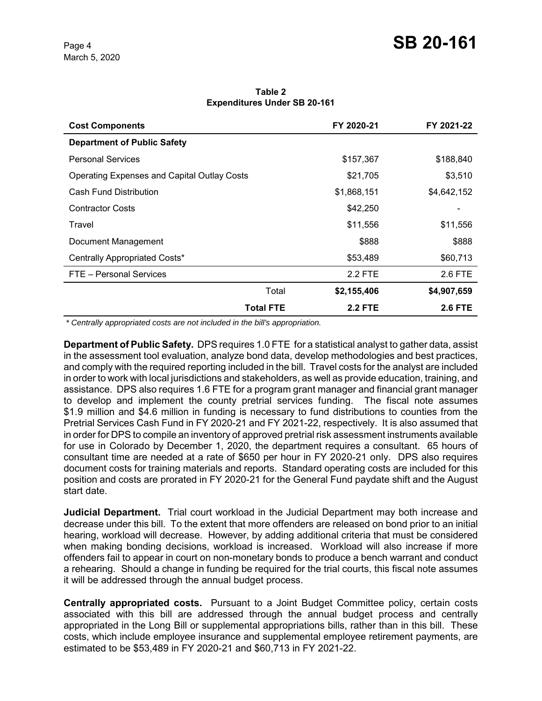| <b>Cost Components</b>                             | FY 2020-21           | FY 2021-22     |
|----------------------------------------------------|----------------------|----------------|
| <b>Department of Public Safety</b>                 |                      |                |
| <b>Personal Services</b>                           | \$157,367            | \$188,840      |
| <b>Operating Expenses and Capital Outlay Costs</b> | \$21,705             | \$3,510        |
| Cash Fund Distribution                             | \$1,868,151          | \$4,642,152    |
| <b>Contractor Costs</b>                            | \$42,250             |                |
| Travel                                             | \$11,556             | \$11,556       |
| Document Management                                | \$888                | \$888          |
| Centrally Appropriated Costs*                      | \$53,489             | \$60,713       |
| FTE - Personal Services                            | 2.2 FTE              | 2.6 FTE        |
|                                                    | \$2,155,406<br>Total | \$4,907,659    |
| <b>Total FTE</b>                                   | <b>2.2 FTE</b>       | <b>2.6 FTE</b> |

**Table 2 Expenditures Under SB 20-161**

 *\* Centrally appropriated costs are not included in the bill's appropriation.*

**Department of Public Safety.** DPS requires 1.0 FTE for a statistical analyst to gather data, assist in the assessment tool evaluation, analyze bond data, develop methodologies and best practices, and comply with the required reporting included in the bill. Travel costs for the analyst are included in order to work with local jurisdictions and stakeholders, as well as provide education, training, and assistance. DPS also requires 1.6 FTE for a program grant manager and financial grant manager to develop and implement the county pretrial services funding. The fiscal note assumes \$1.9 million and \$4.6 million in funding is necessary to fund distributions to counties from the Pretrial Services Cash Fund in FY 2020-21 and FY 2021-22, respectively. It is also assumed that in order for DPS to compile an inventory of approved pretrial risk assessment instruments available for use in Colorado by December 1, 2020, the department requires a consultant. 65 hours of consultant time are needed at a rate of \$650 per hour in FY 2020-21 only. DPS also requires document costs for training materials and reports. Standard operating costs are included for this position and costs are prorated in FY 2020-21 for the General Fund paydate shift and the August start date.

**Judicial Department.** Trial court workload in the Judicial Department may both increase and decrease under this bill. To the extent that more offenders are released on bond prior to an initial hearing, workload will decrease. However, by adding additional criteria that must be considered when making bonding decisions, workload is increased. Workload will also increase if more offenders fail to appear in court on non-monetary bonds to produce a bench warrant and conduct a rehearing. Should a change in funding be required for the trial courts, this fiscal note assumes it will be addressed through the annual budget process.

**Centrally appropriated costs.** Pursuant to a Joint Budget Committee policy, certain costs associated with this bill are addressed through the annual budget process and centrally appropriated in the Long Bill or supplemental appropriations bills, rather than in this bill. These costs, which include employee insurance and supplemental employee retirement payments, are estimated to be \$53,489 in FY 2020-21 and \$60,713 in FY 2021-22.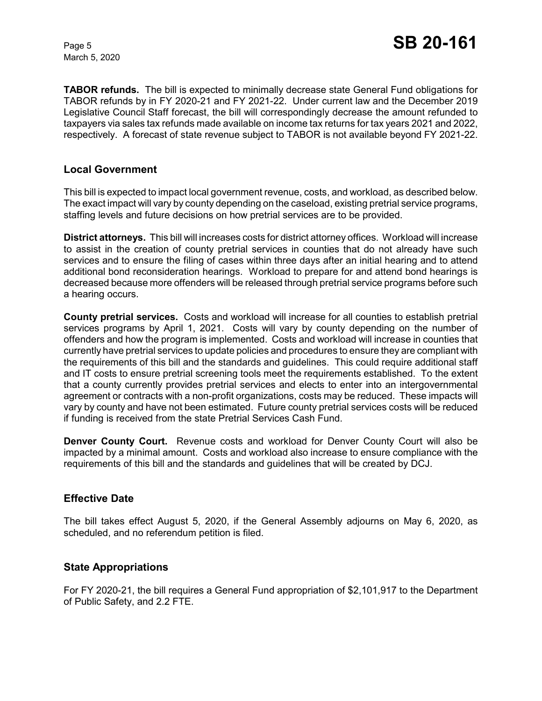**TABOR refunds.** The bill is expected to minimally decrease state General Fund obligations for TABOR refunds by in FY 2020-21 and FY 2021-22. Under current law and the December 2019 Legislative Council Staff forecast, the bill will correspondingly decrease the amount refunded to taxpayers via sales tax refunds made available on income tax returns for tax years 2021 and 2022, respectively. A forecast of state revenue subject to TABOR is not available beyond FY 2021-22.

### **Local Government**

This bill is expected to impact local government revenue, costs, and workload, as described below. The exact impact will vary by county depending on the caseload, existing pretrial service programs, staffing levels and future decisions on how pretrial services are to be provided.

**District attorneys.** This bill will increases costs for district attorney offices. Workload will increase to assist in the creation of county pretrial services in counties that do not already have such services and to ensure the filing of cases within three days after an initial hearing and to attend additional bond reconsideration hearings. Workload to prepare for and attend bond hearings is decreased because more offenders will be released through pretrial service programs before such a hearing occurs.

**County pretrial services.** Costs and workload will increase for all counties to establish pretrial services programs by April 1, 2021. Costs will vary by county depending on the number of offenders and how the program is implemented. Costs and workload will increase in counties that currently have pretrial services to update policies and procedures to ensure they are compliant with the requirements of this bill and the standards and guidelines. This could require additional staff and IT costs to ensure pretrial screening tools meet the requirements established. To the extent that a county currently provides pretrial services and elects to enter into an intergovernmental agreement or contracts with a non-profit organizations, costs may be reduced. These impacts will vary by county and have not been estimated. Future county pretrial services costs will be reduced if funding is received from the state Pretrial Services Cash Fund.

**Denver County Court.** Revenue costs and workload for Denver County Court will also be impacted by a minimal amount. Costs and workload also increase to ensure compliance with the requirements of this bill and the standards and guidelines that will be created by DCJ.

## **Effective Date**

The bill takes effect August 5, 2020, if the General Assembly adjourns on May 6, 2020, as scheduled, and no referendum petition is filed.

#### **State Appropriations**

For FY 2020-21, the bill requires a General Fund appropriation of \$2,101,917 to the Department of Public Safety, and 2.2 FTE.